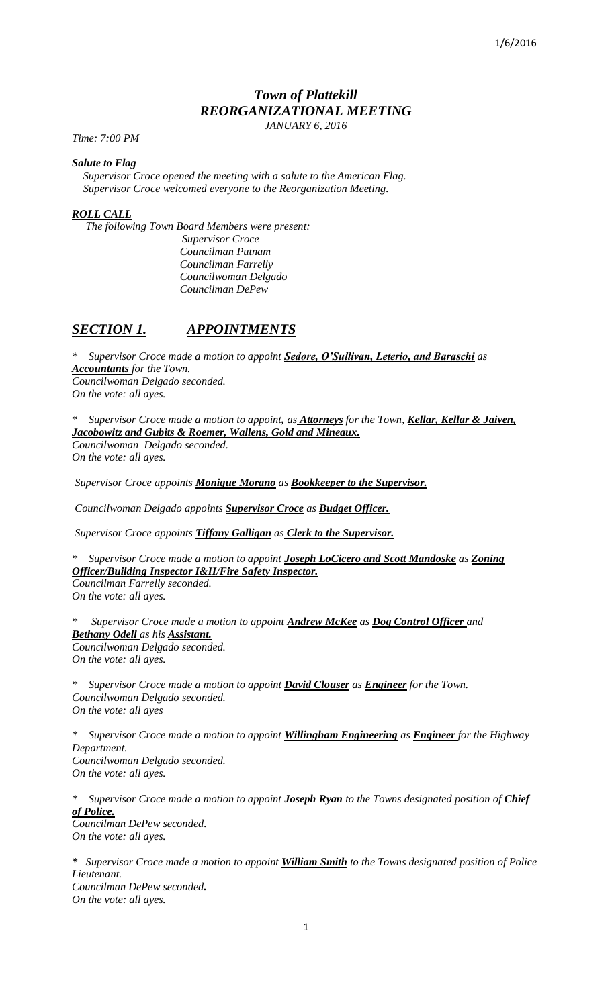# *Town of Plattekill REORGANIZATIONAL MEETING JANUARY 6, 2016*

*Time: 7:00 PM*

### *Salute to Flag*

 *Supervisor Croce opened the meeting with a salute to the American Flag. Supervisor Croce welcomed everyone to the Reorganization Meeting.* 

## *ROLL CALL*

 *The following Town Board Members were present:*

 *Supervisor Croce Councilman Putnam Councilman Farrelly Councilwoman Delgado Councilman DePew*

# *SECTION 1. APPOINTMENTS*

*\* Supervisor Croce made a motion to appoint Sedore, O'Sullivan, Leterio, and Baraschi as Accountants for the Town. Councilwoman Delgado seconded. On the vote: all ayes.*

\* *Supervisor Croce made a motion to appoint, as Attorneys for the Town, Kellar, Kellar & Jaiven, Jacobowitz and Gubits & Roemer, Wallens, Gold and Mineaux. Councilwoman Delgado seconded. On the vote: all ayes.* 

*Supervisor Croce appoints Monique Morano as Bookkeeper to the Supervisor.*

*Councilwoman Delgado appoints Supervisor Croce as Budget Officer.*

*Supervisor Croce appoints Tiffany Galligan as Clerk to the Supervisor.*

*\* Supervisor Croce made a motion to appoint Joseph LoCicero and Scott Mandoske as Zoning Officer/Building Inspector I&II/Fire Safety Inspector. Councilman Farrelly seconded.*

*On the vote: all ayes.*

*\* Supervisor Croce made a motion to appoint Andrew McKee as Dog Control Officer and Bethany Odell as his Assistant. Councilwoman Delgado seconded. On the vote: all ayes.*

*\* Supervisor Croce made a motion to appoint David Clouser as Engineer for the Town. Councilwoman Delgado seconded. On the vote: all ayes*

*\* Supervisor Croce made a motion to appoint Willingham Engineering as Engineer for the Highway Department. Councilwoman Delgado seconded. On the vote: all ayes.*

*\* Supervisor Croce made a motion to appoint Joseph Ryan to the Towns designated position of Chief of Police. Councilman DePew seconded. On the vote: all ayes.*

*\* Supervisor Croce made a motion to appoint William Smith to the Towns designated position of Police Lieutenant. Councilman DePew seconded. On the vote: all ayes.*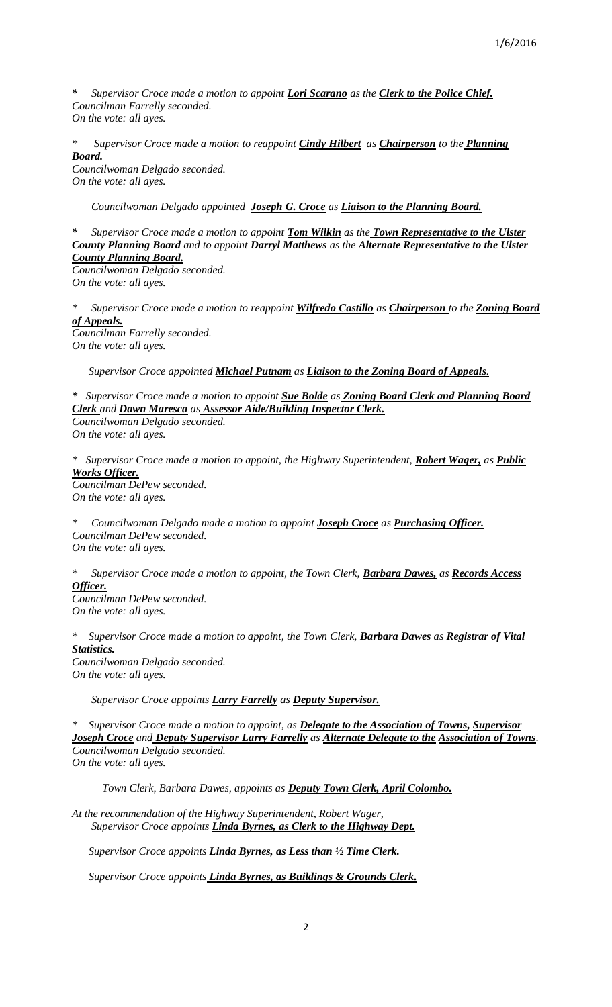*\* Supervisor Croce made a motion to appoint Lori Scarano as the Clerk to the Police Chief. Councilman Farrelly seconded. On the vote: all ayes.*

*\* Supervisor Croce made a motion to reappoint Cindy Hilbert as Chairperson to the Planning Board.*

*Councilwoman Delgado seconded. On the vote: all ayes.*

 *Councilwoman Delgado appointed Joseph G. Croce as Liaison to the Planning Board.*

*\* Supervisor Croce made a motion to appoint Tom Wilkin as the Town Representative to the Ulster County Planning Board and to appoint Darryl Matthews as the Alternate Representative to the Ulster County Planning Board. Councilwoman Delgado seconded. On the vote: all ayes.*

*\* Supervisor Croce made a motion to reappoint Wilfredo Castillo as Chairperson to the Zoning Board of Appeals. Councilman Farrelly seconded.*

*On the vote: all ayes.*

 *Supervisor Croce appointed Michael Putnam as Liaison to the Zoning Board of Appeals.*

*\* Supervisor Croce made a motion to appoint Sue Bolde as Zoning Board Clerk and Planning Board Clerk and Dawn Maresca as Assessor Aide/Building Inspector Clerk. Councilwoman Delgado seconded.*

*On the vote: all ayes.*

*\* Supervisor Croce made a motion to appoint, the Highway Superintendent, Robert Wager, as Public Works Officer. Councilman DePew seconded. On the vote: all ayes.*

*\* Councilwoman Delgado made a motion to appoint Joseph Croce as Purchasing Officer. Councilman DePew seconded. On the vote: all ayes.*

*\* Supervisor Croce made a motion to appoint, the Town Clerk, Barbara Dawes, as Records Access Officer.*

*Councilman DePew seconded. On the vote: all ayes.*

*\* Supervisor Croce made a motion to appoint, the Town Clerk, Barbara Dawes as Registrar of Vital Statistics. Councilwoman Delgado seconded.*

*On the vote: all ayes.*

 *Supervisor Croce appoints Larry Farrelly as Deputy Supervisor.*

*\* Supervisor Croce made a motion to appoint, as Delegate to the Association of Towns, Supervisor Joseph Croce and Deputy Supervisor Larry Farrelly as Alternate Delegate to the Association of Towns*. *Councilwoman Delgado seconded. On the vote: all ayes.*

 *Town Clerk, Barbara Dawes, appoints as Deputy Town Clerk, April Colombo.*

*At the recommendation of the Highway Superintendent, Robert Wager, Supervisor Croce appoints Linda Byrnes, as Clerk to the Highway Dept.*

 *Supervisor Croce appoints Linda Byrnes, as Less than ½ Time Clerk.*

 *Supervisor Croce appoints Linda Byrnes, as Buildings & Grounds Clerk.*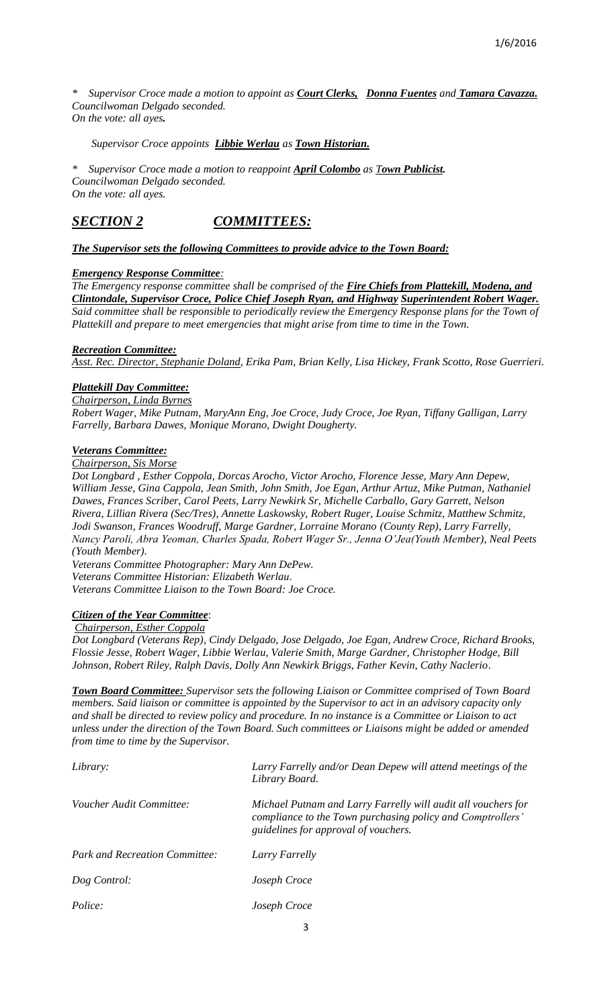*\* Supervisor Croce made a motion to appoint as Court Clerks, Donna Fuentes and Tamara Cavazza. Councilwoman Delgado seconded. On the vote: all ayes.*

 *Supervisor Croce appoints Libbie Werlau as Town Historian.*

*\* Supervisor Croce made a motion to reappoint April Colombo as Town Publicist. Councilwoman Delgado seconded. On the vote: all ayes.*

# *SECTION 2 COMMITTEES:*

*The Supervisor sets the following Committees to provide advice to the Town Board:*

### *Emergency Response Committee:*

*The Emergency response committee shall be comprised of the Fire Chiefs from Plattekill, Modena, and Clintondale, Supervisor Croce, Police Chief Joseph Ryan, and Highway Superintendent Robert Wager. Said committee shall be responsible to periodically review the Emergency Response plans for the Town of Plattekill and prepare to meet emergencies that might arise from time to time in the Town.*

### *Recreation Committee:*

*Asst. Rec. Director, Stephanie Doland, Erika Pam, Brian Kelly, Lisa Hickey, Frank Scotto, Rose Guerrieri.* 

#### *Plattekill Day Committee:*

*Chairperson, Linda Byrnes Robert Wager, Mike Putnam, MaryAnn Eng, Joe Croce, Judy Croce, Joe Ryan, Tiffany Galligan, Larry Farrelly, Barbara Dawes, Monique Morano, Dwight Dougherty.*

### *Veterans Committee:*

*Chairperson, Sis Morse*

*Dot Longbard , Esther Coppola, Dorcas Arocho, Victor Arocho, Florence Jesse, Mary Ann Depew, William Jesse, Gina Cappola, Jean Smith, John Smith, Joe Egan, Arthur Artuz, Mike Putman, Nathaniel Dawes, Frances Scriber, Carol Peets, Larry Newkirk Sr, Michelle Carballo, Gary Garrett, Nelson Rivera, Lillian Rivera (Sec/Tres), Annette Laskowsky, Robert Ruger, Louise Schmitz, Matthew Schmitz, Jodi Swanson, Frances Woodruff, Marge Gardner, Lorraine Morano (County Rep), Larry Farrelly, Nancy Paroli, Abra Yeoman, Charles Spada, Robert Wager Sr., Jenna O'Jea(Youth Member), Neal Peets (Youth Member).*

*Veterans Committee Photographer: Mary Ann DePew. Veterans Committee Historian: Elizabeth Werlau. Veterans Committee Liaison to the Town Board: Joe Croce.*

# *Citizen of the Year Committee*:

#### *Chairperson, Esther Coppola*

*Dot Longbard (Veterans Rep), Cindy Delgado, Jose Delgado, Joe Egan, Andrew Croce, Richard Brooks, Flossie Jesse, Robert Wager, Libbie Werlau, Valerie Smith, Marge Gardner, Christopher Hodge, Bill Johnson, Robert Riley, Ralph Davis, Dolly Ann Newkirk Briggs, Father Kevin, Cathy Naclerio.*

*Town Board Committee: Supervisor sets the following Liaison or Committee comprised of Town Board members. Said liaison or committee is appointed by the Supervisor to act in an advisory capacity only and shall be directed to review policy and procedure. In no instance is a Committee or Liaison to act unless under the direction of the Town Board. Such committees or Liaisons might be added or amended from time to time by the Supervisor.*

| Library:                              | Larry Farrelly and/or Dean Depew will attend meetings of the<br>Library Board.                                                                                      |
|---------------------------------------|---------------------------------------------------------------------------------------------------------------------------------------------------------------------|
| Voucher Audit Committee:              | Michael Putnam and Larry Farrelly will audit all vouchers for<br>compliance to the Town purchasing policy and Comptrollers'<br>guidelines for approval of vouchers. |
| <b>Park and Recreation Committee:</b> | Larry Farrelly                                                                                                                                                      |
| Dog Control:                          | Joseph Croce                                                                                                                                                        |
| Police:                               | Joseph Croce                                                                                                                                                        |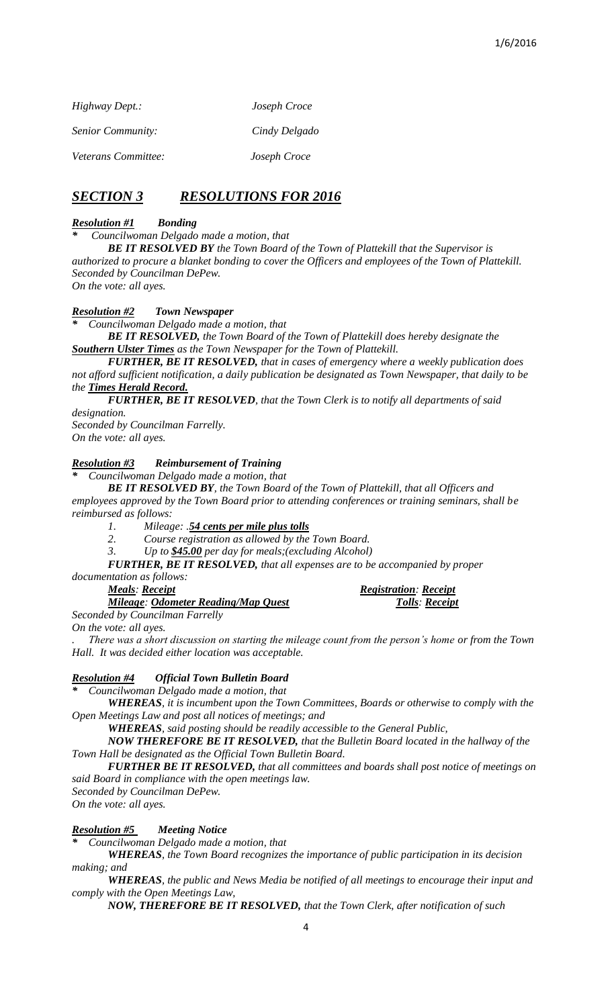| Highway Dept.:           | Joseph Croce  |
|--------------------------|---------------|
| <i>Senior Community:</i> | Cindy Delgado |
| Veterans Committee:      | Joseph Croce  |

# *SECTION 3 RESOLUTIONS FOR 2016*

# *Resolution #1 Bonding*

*\* Councilwoman Delgado made a motion, that*

*BE IT RESOLVED BY the Town Board of the Town of Plattekill that the Supervisor is authorized to procure a blanket bonding to cover the Officers and employees of the Town of Plattekill. Seconded by Councilman DePew. On the vote: all ayes.*

# *Resolution #2 Town Newspaper*

*\* Councilwoman Delgado made a motion, that*

*BE IT RESOLVED, the Town Board of the Town of Plattekill does hereby designate the Southern Ulster Times as the Town Newspaper for the Town of Plattekill.*

*FURTHER, BE IT RESOLVED, that in cases of emergency where a weekly publication does not afford sufficient notification, a daily publication be designated as Town Newspaper, that daily to be the Times Herald Record.*

*FURTHER, BE IT RESOLVED, that the Town Clerk is to notify all departments of said designation.* 

*Seconded by Councilman Farrelly. On the vote: all ayes.*

# *Resolution #3 Reimbursement of Training*

*\* Councilwoman Delgado made a motion, that*

*BE IT RESOLVED BY, the Town Board of the Town of Plattekill, that all Officers and employees approved by the Town Board prior to attending conferences or training seminars, shall be reimbursed as follows:*

*1. Mileage: .54 cents per mile plus tolls*

*2. Course registration as allowed by the Town Board.*

*3. Up to \$45.00 per day for meals;(excluding Alcohol)*

*FURTHER, BE IT RESOLVED, that all expenses are to be accompanied by proper documentation as follows:*

*Mileage: Odometer Reading/Map Quest Tolls: Receipt*

*Meals: Receipt Registration: Receipt*

*Seconded by Councilman Farrelly On the vote: all ayes.*

*. There was a short discussion on starting the mileage count from the person's home or from the Town Hall. It was decided either location was acceptable.*

# *Resolution #4 Official Town Bulletin Board*

*\* Councilwoman Delgado made a motion, that* 

*WHEREAS, it is incumbent upon the Town Committees, Boards or otherwise to comply with the Open Meetings Law and post all notices of meetings; and*

*WHEREAS, said posting should be readily accessible to the General Public,*

*NOW THEREFORE BE IT RESOLVED, that the Bulletin Board located in the hallway of the Town Hall be designated as the Official Town Bulletin Board.*

*FURTHER BE IT RESOLVED, that all committees and boards shall post notice of meetings on said Board in compliance with the open meetings law.*

*Seconded by Councilman DePew.*

*On the vote: all ayes.*

*Resolution #5 Meeting Notice*

*\* Councilwoman Delgado made a motion, that* 

*WHEREAS, the Town Board recognizes the importance of public participation in its decision making; and*

*WHEREAS, the public and News Media be notified of all meetings to encourage their input and comply with the Open Meetings Law,*

*NOW, THEREFORE BE IT RESOLVED, that the Town Clerk, after notification of such*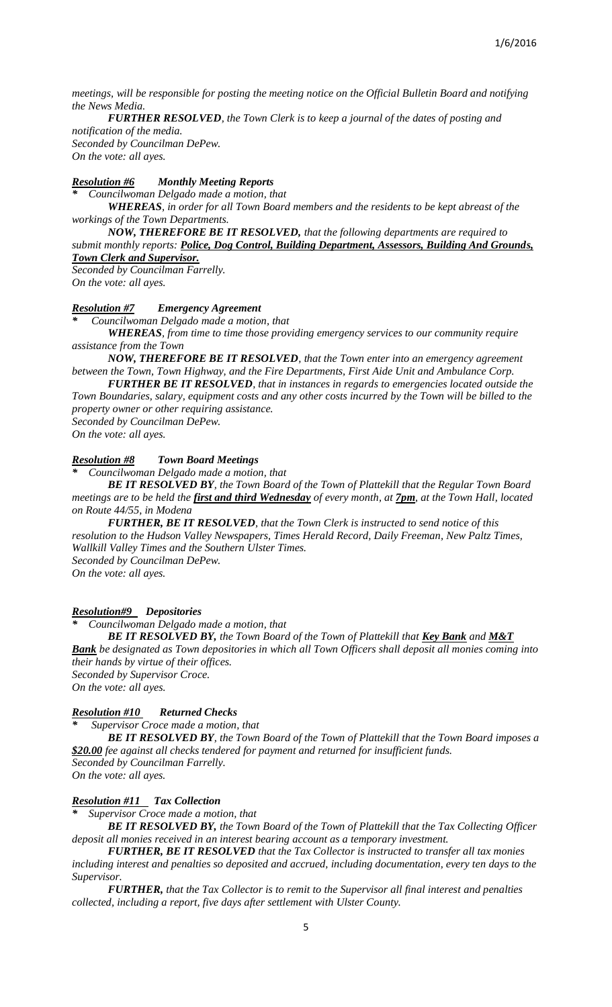*meetings, will be responsible for posting the meeting notice on the Official Bulletin Board and notifying the News Media.*

*FURTHER RESOLVED, the Town Clerk is to keep a journal of the dates of posting and notification of the media.*

*Seconded by Councilman DePew. On the vote: all ayes.*

# *Resolution #6 Monthly Meeting Reports*

*\* Councilwoman Delgado made a motion, that* 

*WHEREAS, in order for all Town Board members and the residents to be kept abreast of the workings of the Town Departments.*

# *NOW, THEREFORE BE IT RESOLVED, that the following departments are required to*

*submit monthly reports: Police, Dog Control, Building Department, Assessors, Building And Grounds, Town Clerk and Supervisor.* 

*Seconded by Councilman Farrelly. On the vote: all ayes.*

#### *Resolution #7 Emergency Agreement*

*\* Councilwoman Delgado made a motion, that*

*WHEREAS, from time to time those providing emergency services to our community require assistance from the Town*

*NOW, THEREFORE BE IT RESOLVED, that the Town enter into an emergency agreement between the Town, Town Highway, and the Fire Departments, First Aide Unit and Ambulance Corp.*

*FURTHER BE IT RESOLVED, that in instances in regards to emergencies located outside the Town Boundaries, salary, equipment costs and any other costs incurred by the Town will be billed to the property owner or other requiring assistance.*

*Seconded by Councilman DePew. On the vote: all ayes.*

#### *Resolution #8 Town Board Meetings*

*\* Councilwoman Delgado made a motion, that*

*BE IT RESOLVED BY, the Town Board of the Town of Plattekill that the Regular Town Board meetings are to be held the first and third Wednesday of every month, at 7pm, at the Town Hall, located on Route 44/55, in Modena*

*FURTHER, BE IT RESOLVED, that the Town Clerk is instructed to send notice of this resolution to the Hudson Valley Newspapers, Times Herald Record, Daily Freeman, New Paltz Times, Wallkill Valley Times and the Southern Ulster Times. Seconded by Councilman DePew.*

*On the vote: all ayes.*

## *Resolution#9 Depositories*

*\* Councilwoman Delgado made a motion, that*

*BE IT RESOLVED BY, the Town Board of the Town of Plattekill that <u>Key Bank</u> and M&T Bank be designated as Town depositories in which all Town Officers shall deposit all monies coming into their hands by virtue of their offices. Seconded by Supervisor Croce.*

*On the vote: all ayes.*

#### *Resolution #10 Returned Checks*

*\* Supervisor Croce made a motion, that*

*BE IT RESOLVED BY, the Town Board of the Town of Plattekill that the Town Board imposes a \$20.00 fee against all checks tendered for payment and returned for insufficient funds. Seconded by Councilman Farrelly.*

*On the vote: all ayes.*

#### *Resolution #11 Tax Collection*

*\* Supervisor Croce made a motion, that* 

*BE IT RESOLVED BY, the Town Board of the Town of Plattekill that the Tax Collecting Officer deposit all monies received in an interest bearing account as a temporary investment.*

*FURTHER, BE IT RESOLVED that the Tax Collector is instructed to transfer all tax monies including interest and penalties so deposited and accrued, including documentation, every ten days to the Supervisor.*

*FURTHER, that the Tax Collector is to remit to the Supervisor all final interest and penalties collected, including a report, five days after settlement with Ulster County.*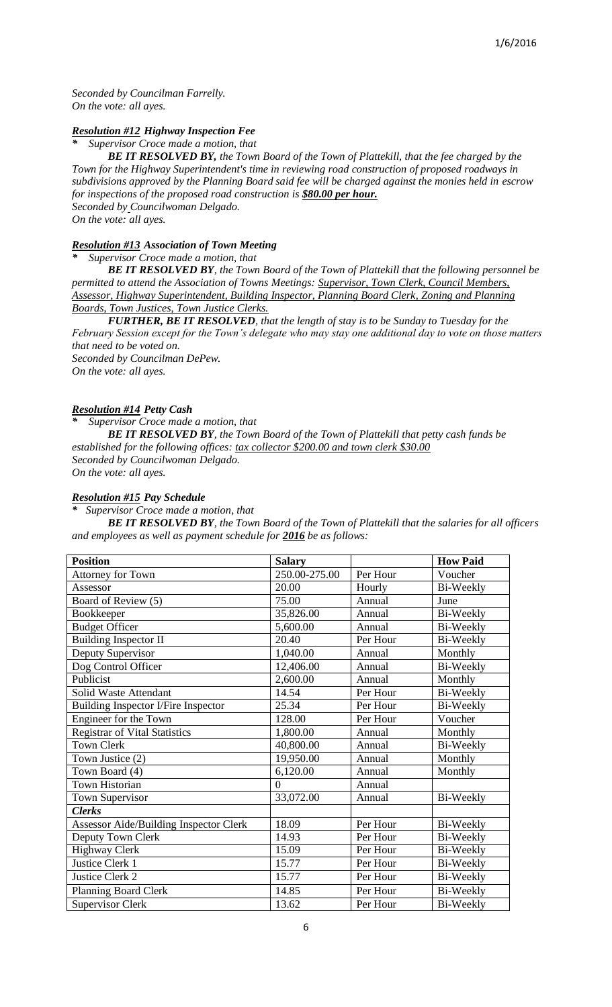*Seconded by Councilman Farrelly. On the vote: all ayes.*

# *Resolution #12 Highway Inspection Fee*

*\* Supervisor Croce made a motion, that* 

*BE IT RESOLVED BY, the Town Board of the Town of Plattekill, that the fee charged by the Town for the Highway Superintendent's time in reviewing road construction of proposed roadways in subdivisions approved by the Planning Board said fee will be charged against the monies held in escrow for inspections of the proposed road construction is \$80.00 per hour. Seconded by Councilwoman Delgado. On the vote: all ayes.*

# *Resolution #13 Association of Town Meeting*

*\* Supervisor Croce made a motion, that*

*BE IT RESOLVED BY, the Town Board of the Town of Plattekill that the following personnel be permitted to attend the Association of Towns Meetings: Supervisor, Town Clerk, Council Members, Assessor, Highway Superintendent, Building Inspector, Planning Board Clerk, Zoning and Planning Boards, Town Justices, Town Justice Clerks.*

*FURTHER, BE IT RESOLVED, that the length of stay is to be Sunday to Tuesday for the February Session except for the Town's delegate who may stay one additional day to vote on those matters that need to be voted on.*

*Seconded by Councilman DePew. On the vote: all ayes.*

# *Resolution #14 Petty Cash*

*\* Supervisor Croce made a motion, that*

*BE IT RESOLVED BY, the Town Board of the Town of Plattekill that petty cash funds be established for the following offices: tax collector \$200.00 and town clerk \$30.00 Seconded by Councilwoman Delgado. On the vote: all ayes.*

# *Resolution #15 Pay Schedule*

*\* Supervisor Croce made a motion, that*

*BE IT RESOLVED BY, the Town Board of the Town of Plattekill that the salaries for all officers and employees as well as payment schedule for 2016 be as follows:* 

| <b>Position</b>                               | <b>Salary</b> |          | <b>How Paid</b>  |
|-----------------------------------------------|---------------|----------|------------------|
| Attorney for Town                             | 250.00-275.00 | Per Hour | Voucher          |
| Assessor                                      | 20.00         | Hourly   | Bi-Weekly        |
| Board of Review (5)                           | 75.00         | Annual   | June             |
| Bookkeeper                                    | 35,826.00     | Annual   | Bi-Weekly        |
| <b>Budget Officer</b>                         | 5,600.00      | Annual   | Bi-Weekly        |
| <b>Building Inspector II</b>                  | 20.40         | Per Hour | Bi-Weekly        |
| Deputy Supervisor                             | 1,040.00      | Annual   | Monthly          |
| Dog Control Officer                           | 12,406.00     | Annual   | Bi-Weekly        |
| Publicist                                     | 2,600.00      | Annual   | Monthly          |
| Solid Waste Attendant                         | 14.54         | Per Hour | Bi-Weekly        |
| Building Inspector I/Fire Inspector           | 25.34         | Per Hour | Bi-Weekly        |
| Engineer for the Town                         | 128.00        | Per Hour | Voucher          |
| <b>Registrar of Vital Statistics</b>          | 1,800.00      | Annual   | Monthly          |
| <b>Town Clerk</b>                             | 40,800.00     | Annual   | Bi-Weekly        |
| Town Justice (2)                              | 19,950.00     | Annual   | Monthly          |
| Town Board (4)                                | 6,120.00      | Annual   | Monthly          |
| <b>Town Historian</b>                         | $\theta$      | Annual   |                  |
| Town Supervisor                               | 33,072.00     | Annual   | Bi-Weekly        |
| <b>Clerks</b>                                 |               |          |                  |
| <b>Assessor Aide/Building Inspector Clerk</b> | 18.09         | Per Hour | Bi-Weekly        |
| Deputy Town Clerk                             | 14.93         | Per Hour | Bi-Weekly        |
| <b>Highway Clerk</b>                          | 15.09         | Per Hour | Bi-Weekly        |
| Justice Clerk 1                               | 15.77         | Per Hour | Bi-Weekly        |
| Justice Clerk 2                               | 15.77         | Per Hour | Bi-Weekly        |
| <b>Planning Board Clerk</b>                   | 14.85         | Per Hour | <b>Bi-Weekly</b> |
| <b>Supervisor Clerk</b>                       | 13.62         | Per Hour | Bi-Weekly        |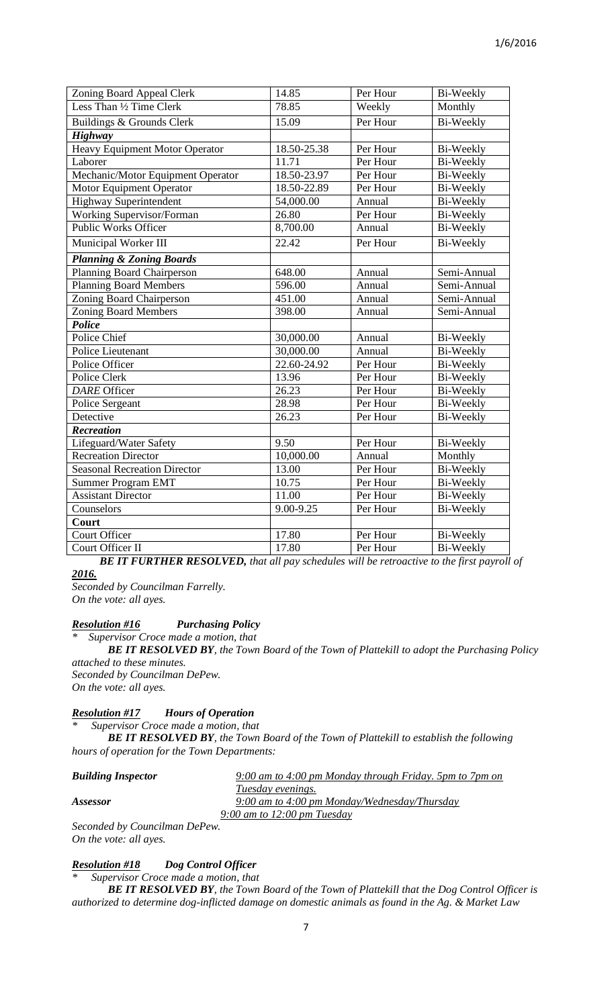| Zoning Board Appeal Clerk             | 14.85       | Per Hour | <b>Bi-Weekly</b> |
|---------------------------------------|-------------|----------|------------------|
| Less Than 1/2 Time Clerk              | 78.85       | Weekly   | Monthly          |
| Buildings & Grounds Clerk             | 15.09       | Per Hour | <b>Bi-Weekly</b> |
| <b>Highway</b>                        |             |          |                  |
| <b>Heavy Equipment Motor Operator</b> | 18.50-25.38 | Per Hour | Bi-Weekly        |
| Laborer                               | 11.71       | Per Hour | Bi-Weekly        |
| Mechanic/Motor Equipment Operator     | 18.50-23.97 | Per Hour | <b>Bi-Weekly</b> |
| Motor Equipment Operator              | 18.50-22.89 | Per Hour | <b>Bi-Weekly</b> |
| <b>Highway Superintendent</b>         | 54,000.00   | Annual   | <b>Bi-Weekly</b> |
| Working Supervisor/Forman             | 26.80       | Per Hour | Bi-Weekly        |
| <b>Public Works Officer</b>           | 8,700.00    | Annual   | Bi-Weekly        |
| Municipal Worker III                  | 22.42       | Per Hour | Bi-Weekly        |
| <b>Planning &amp; Zoning Boards</b>   |             |          |                  |
| Planning Board Chairperson            | 648.00      | Annual   | Semi-Annual      |
| <b>Planning Board Members</b>         | 596.00      | Annual   | Semi-Annual      |
| Zoning Board Chairperson              | 451.00      | Annual   | Semi-Annual      |
| <b>Zoning Board Members</b>           | 398.00      | Annual   | Semi-Annual      |
| Police                                |             |          |                  |
| Police Chief                          | 30,000.00   | Annual   | Bi-Weekly        |
| Police Lieutenant                     | 30,000.00   | Annual   | Bi-Weekly        |
| Police Officer                        | 22.60-24.92 | Per Hour | Bi-Weekly        |
| Police Clerk                          | 13.96       | Per Hour | <b>Bi-Weekly</b> |
| <b>DARE</b> Officer                   | 26.23       | Per Hour | Bi-Weekly        |
| Police Sergeant                       | 28.98       | Per Hour | <b>Bi-Weekly</b> |
| Detective                             | 26.23       | Per Hour | Bi-Weekly        |
| <b>Recreation</b>                     |             |          |                  |
| Lifeguard/Water Safety                | 9.50        | Per Hour | <b>Bi-Weekly</b> |
| <b>Recreation Director</b>            | 10,000.00   | Annual   | Monthly          |
| <b>Seasonal Recreation Director</b>   | 13.00       | Per Hour | <b>Bi-Weekly</b> |
| <b>Summer Program EMT</b>             | 10.75       | Per Hour | Bi-Weekly        |
| <b>Assistant Director</b>             | 11.00       | Per Hour | Bi-Weekly        |
| Counselors                            | 9.00-9.25   | Per Hour | Bi-Weekly        |
| Court                                 |             |          |                  |
| <b>Court Officer</b>                  | 17.80       | Per Hour | <b>Bi-Weekly</b> |
| Court Officer II                      | 17.80       | Per Hour | <b>Bi-Weekly</b> |

 *BE IT FURTHER RESOLVED, that all pay schedules will be retroactive to the first payroll of 2016.* 

*Seconded by Councilman Farrelly. On the vote: all ayes.*

# *Resolution #16 Purchasing Policy*

*\* Supervisor Croce made a motion, that*

*BE IT RESOLVED BY, the Town Board of the Town of Plattekill to adopt the Purchasing Policy attached to these minutes. Seconded by Councilman DePew.*

*On the vote: all ayes.*

#### *Resolution #17 Hours of Operation*

*\* Supervisor Croce made a motion, that* 

*BE IT RESOLVED BY, the Town Board of the Town of Plattekill to establish the following hours of operation for the Town Departments:*

| <b>Building Inspector</b> | $9:00$ am to 4:00 pm Monday through Friday. 5pm to 7pm on |
|---------------------------|-----------------------------------------------------------|
|                           | Tuesday evenings.                                         |
| Assessor                  | 9:00 am to 4:00 pm Monday/Wednesday/Thursday              |
|                           | 9:00 am to $12:00$ pm Tuesday                             |
| $\sim$                    |                                                           |

*Seconded by Councilman DePew. On the vote: all ayes.*

# *Resolution #18 Dog Control Officer*

*\* Supervisor Croce made a motion, that* 

*BE IT RESOLVED BY, the Town Board of the Town of Plattekill that the Dog Control Officer is authorized to determine dog-inflicted damage on domestic animals as found in the Ag. & Market Law*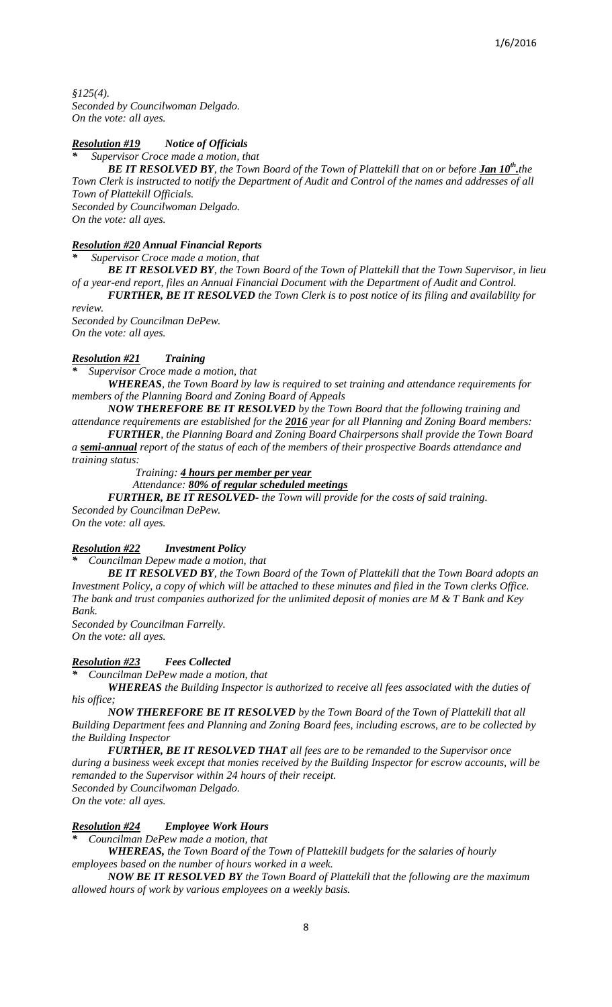*§125(4). Seconded by Councilwoman Delgado. On the vote: all ayes.*

# *Resolution #19 Notice of Officials*

*\* Supervisor Croce made a motion, that*

*BE IT RESOLVED BY<sub></sub>, the Town Board of the Town of Plattekill that on or before <u>Jan 10<sup>th</sup>,</u>the Town Clerk is instructed to notify the Department of Audit and Control of the names and addresses of all Town of Plattekill Officials. Seconded by Councilwoman Delgado.*

*On the vote: all ayes.*

# *Resolution #20 Annual Financial Reports*

*\* Supervisor Croce made a motion, that*

*BE IT RESOLVED BY, the Town Board of the Town of Plattekill that the Town Supervisor, in lieu of a year-end report, files an Annual Financial Document with the Department of Audit and Control.*

*FURTHER, BE IT RESOLVED the Town Clerk is to post notice of its filing and availability for review.*

*Seconded by Councilman DePew. On the vote: all ayes.* 

# *Resolution #21 Training*

*\* Supervisor Croce made a motion, that*

*WHEREAS, the Town Board by law is required to set training and attendance requirements for members of the Planning Board and Zoning Board of Appeals* 

*NOW THEREFORE BE IT RESOLVED by the Town Board that the following training and attendance requirements are established for the 2016 year for all Planning and Zoning Board members:*

*FURTHER, the Planning Board and Zoning Board Chairpersons shall provide the Town Board a semi-annual report of the status of each of the members of their prospective Boards attendance and* 

*training status:*

 *Training: 4 hours per member per year* 

 *Attendance: 80% of regular scheduled meetings*

*FURTHER, BE IT RESOLVED- the Town will provide for the costs of said training. Seconded by Councilman DePew.*

*On the vote: all ayes.*

*Resolution #22 Investment Policy*

*\* Councilman Depew made a motion, that*

*BE IT RESOLVED BY, the Town Board of the Town of Plattekill that the Town Board adopts an Investment Policy, a copy of which will be attached to these minutes and filed in the Town clerks Office. The bank and trust companies authorized for the unlimited deposit of monies are M & T Bank and Key Bank.*

*Seconded by Councilman Farrelly. On the vote: all ayes.*

*Resolution #23 Fees Collected*

*\* Councilman DePew made a motion, that* 

*WHEREAS the Building Inspector is authorized to receive all fees associated with the duties of his office;*

*NOW THEREFORE BE IT RESOLVED by the Town Board of the Town of Plattekill that all Building Department fees and Planning and Zoning Board fees, including escrows, are to be collected by the Building Inspector*

*FURTHER, BE IT RESOLVED THAT all fees are to be remanded to the Supervisor once during a business week except that monies received by the Building Inspector for escrow accounts, will be remanded to the Supervisor within 24 hours of their receipt. Seconded by Councilwoman Delgado.*

*On the vote: all ayes.*

# *Resolution #24 Employee Work Hours*

*\* Councilman DePew made a motion, that* 

*WHEREAS, the Town Board of the Town of Plattekill budgets for the salaries of hourly employees based on the number of hours worked in a week.*

*NOW BE IT RESOLVED BY the Town Board of Plattekill that the following are the maximum allowed hours of work by various employees on a weekly basis.*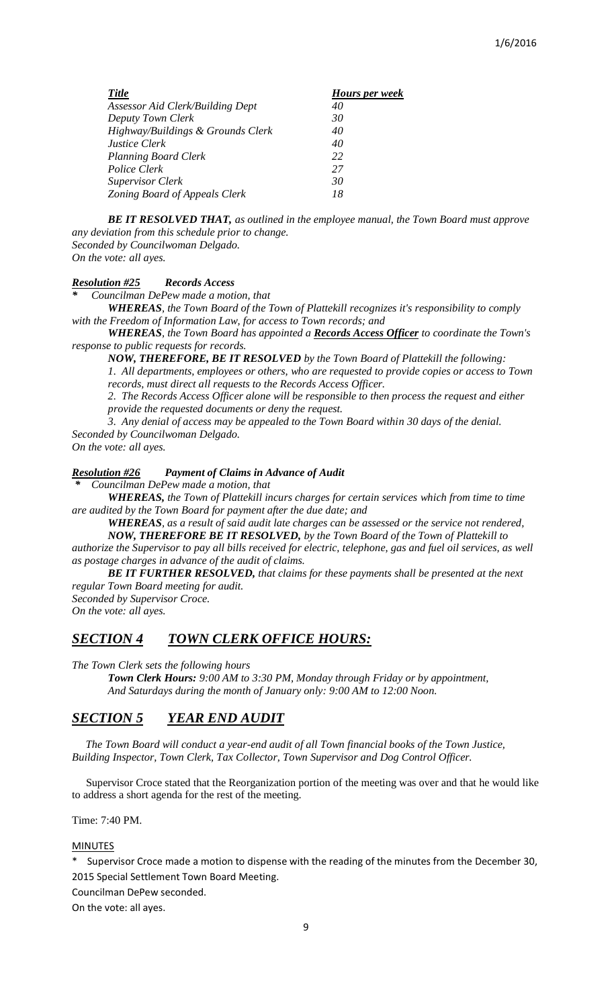| <b>Title</b>                            | Hours per week |
|-----------------------------------------|----------------|
| <b>Assessor Aid Clerk/Building Dept</b> | 40             |
| Deputy Town Clerk                       | 30             |
| Highway/Buildings & Grounds Clerk       | 40             |
| <b>Justice Clerk</b>                    | 40             |
| <b>Planning Board Clerk</b>             | 22             |
| Police Clerk                            | 27             |
| <b>Supervisor Clerk</b>                 | 30             |
| Zoning Board of Appeals Clerk           | 18             |

*BE IT RESOLVED THAT, as outlined in the employee manual, the Town Board must approve any deviation from this schedule prior to change. Seconded by Councilwoman Delgado. On the vote: all ayes.*

# *Resolution #25 Records Access*

*\* Councilman DePew made a motion, that*

*WHEREAS, the Town Board of the Town of Plattekill recognizes it's responsibility to comply with the Freedom of Information Law, for access to Town records; and*

*WHEREAS, the Town Board has appointed a Records Access Officer to coordinate the Town's response to public requests for records.*

*NOW, THEREFORE, BE IT RESOLVED by the Town Board of Plattekill the following: 1. All departments, employees or others, who are requested to provide copies or access to Town records, must direct all requests to the Records Access Officer.*

2. The Records Access Officer alone will be responsible to then process the request and either *provide the requested documents or deny the request.*

*3. Any denial of access may be appealed to the Town Board within 30 days of the denial. Seconded by Councilwoman Delgado.*

*On the vote: all ayes.*

*Resolution #26 Payment of Claims in Advance of Audit*

*\* Councilman DePew made a motion, that*

*WHEREAS, the Town of Plattekill incurs charges for certain services which from time to time are audited by the Town Board for payment after the due date; and*

*WHEREAS, as a result of said audit late charges can be assessed or the service not rendered,*

*NOW, THEREFORE BE IT RESOLVED, by the Town Board of the Town of Plattekill to authorize the Supervisor to pay all bills received for electric, telephone, gas and fuel oil services, as well as postage charges in advance of the audit of claims.*

*BE IT FURTHER RESOLVED, that claims for these payments shall be presented at the next regular Town Board meeting for audit.*

*Seconded by Supervisor Croce. On the vote: all ayes.*

# *SECTION 4 TOWN CLERK OFFICE HOURS:*

*The Town Clerk sets the following hours*

*Town Clerk Hours: 9:00 AM to 3:30 PM, Monday through Friday or by appointment, And Saturdays during the month of January only: 9:00 AM to 12:00 Noon.*

# *SECTION 5 YEAR END AUDIT*

 *The Town Board will conduct a year-end audit of all Town financial books of the Town Justice, Building Inspector, Town Clerk, Tax Collector, Town Supervisor and Dog Control Officer.*

 Supervisor Croce stated that the Reorganization portion of the meeting was over and that he would like to address a short agenda for the rest of the meeting.

Time: 7:40 PM.

#### MINUTES

Supervisor Croce made a motion to dispense with the reading of the minutes from the December 30, 2015 Special Settlement Town Board Meeting.

Councilman DePew seconded.

On the vote: all ayes.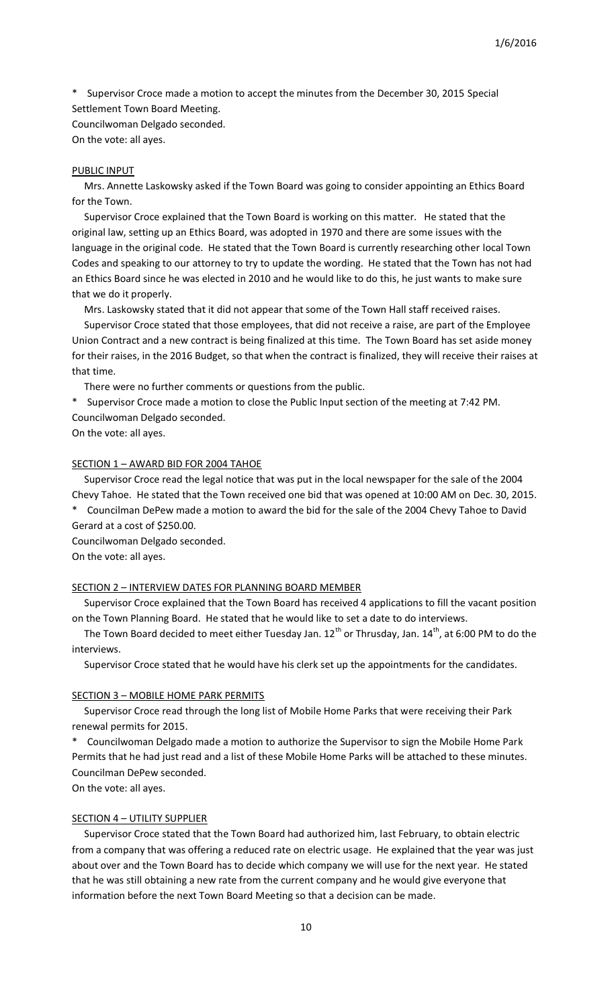Supervisor Croce made a motion to accept the minutes from the December 30, 2015 Special Settlement Town Board Meeting. Councilwoman Delgado seconded.

On the vote: all ayes.

## PUBLIC INPUT

 Mrs. Annette Laskowsky asked if the Town Board was going to consider appointing an Ethics Board for the Town.

 Supervisor Croce explained that the Town Board is working on this matter. He stated that the original law, setting up an Ethics Board, was adopted in 1970 and there are some issues with the language in the original code. He stated that the Town Board is currently researching other local Town Codes and speaking to our attorney to try to update the wording. He stated that the Town has not had an Ethics Board since he was elected in 2010 and he would like to do this, he just wants to make sure that we do it properly.

Mrs. Laskowsky stated that it did not appear that some of the Town Hall staff received raises.

 Supervisor Croce stated that those employees, that did not receive a raise, are part of the Employee Union Contract and a new contract is being finalized at this time. The Town Board has set aside money for their raises, in the 2016 Budget, so that when the contract is finalized, they will receive their raises at that time.

There were no further comments or questions from the public.

\* Supervisor Croce made a motion to close the Public Input section of the meeting at 7:42 PM. Councilwoman Delgado seconded.

On the vote: all ayes.

## SECTION 1 - AWARD BID FOR 2004 TAHOE

 Supervisor Croce read the legal notice that was put in the local newspaper for the sale of the 2004 Chevy Tahoe. He stated that the Town received one bid that was opened at 10:00 AM on Dec. 30, 2015.

\* Councilman DePew made a motion to award the bid for the sale of the 2004 Chevy Tahoe to David Gerard at a cost of \$250.00.

Councilwoman Delgado seconded. On the vote: all ayes.

# SECTION 2 – INTERVIEW DATES FOR PLANNING BOARD MEMBER

 Supervisor Croce explained that the Town Board has received 4 applications to fill the vacant position on the Town Planning Board. He stated that he would like to set a date to do interviews.

The Town Board decided to meet either Tuesday Jan.  $12^{th}$  or Thrusday, Jan.  $14^{th}$ , at 6:00 PM to do the interviews.

Supervisor Croce stated that he would have his clerk set up the appointments for the candidates.

#### SECTION 3 – MOBILE HOME PARK PERMITS

 Supervisor Croce read through the long list of Mobile Home Parks that were receiving their Park renewal permits for 2015.

\* Councilwoman Delgado made a motion to authorize the Supervisor to sign the Mobile Home Park Permits that he had just read and a list of these Mobile Home Parks will be attached to these minutes. Councilman DePew seconded.

On the vote: all ayes.

## SECTION 4 – UTILITY SUPPLIER

 Supervisor Croce stated that the Town Board had authorized him, last February, to obtain electric from a company that was offering a reduced rate on electric usage. He explained that the year was just about over and the Town Board has to decide which company we will use for the next year. He stated that he was still obtaining a new rate from the current company and he would give everyone that information before the next Town Board Meeting so that a decision can be made.